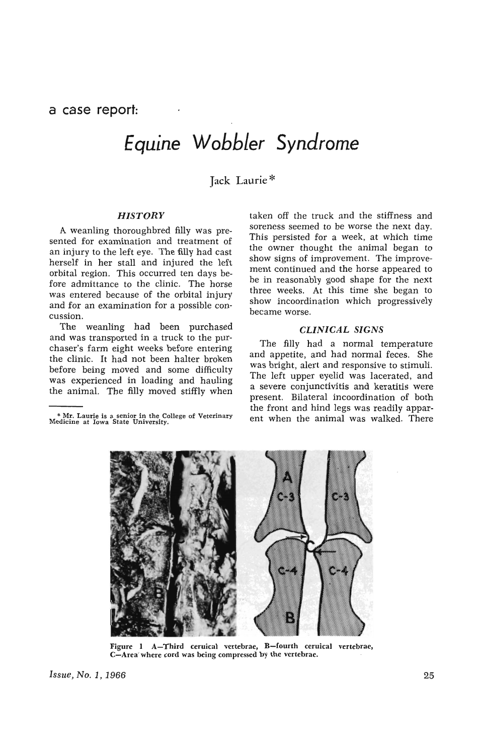a **case report:** 

# *Equine Wobbler Syndrome*

Jack Laurie \*

### *HISTORY*

A weanling thoroughbred filly was presented for examination and treatment of an injury to the left eye. The filly had cast herself in her stall and injured the left orbital region. This occurred ten days before admittance to the clinic. The horse was entered because of the orbital injury and for an examination for a possible concussion.

The weanling had been purchased and was transported in a truck to the purchaser's farm eight weeks before entering the clinic. It had not been halter broken before being moved and some difficulty was experienced in loading and hauling the animal. The filly moved stiffly when

\* !'1!. Laurie is a senior in the College of Veterinary Medlcme at Iowa State University.

taken off the truck and the stiffness and soreness seemed to be worse the next day. This persisted for a week, at which time the owner thought the animal began to show signs of improvement. The improvement continued and the horse appeared to be in reasonably good shape for the next three weeks. At this time she began to show incoordination which progressively became worse.

#### *CLINICAL SIGNS*

The filly had a normal temperature and appetite, and had normal feces. She was bright, alert and responsive to stimuli. The left upper eyelid was lacerated, and a severe conjunctivitis and keratitis were present. Bilateral incoordination of both the front and hind legs was readily apparent when the animal was walked. There



Figure 1 A-Third ceruical vertebrae, B-fourth ceruical vertebrae, C-Area" where cord was being compressed by the vertebrae.

*Issue, No.1, 1966* 25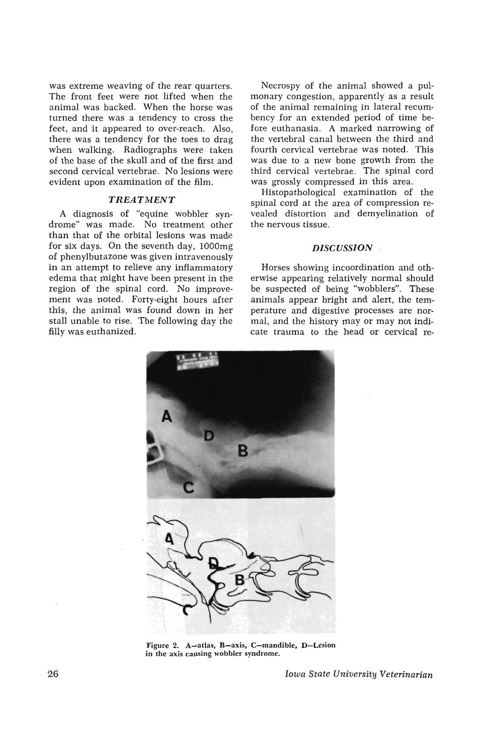was extreme weaving of the rear quarters. The front feet were not lifted when the animal was backed. When the horse was turned there was a tendency to cross the feet, and it appeared to over-reach. Also, there was a tendency for the toes to drag when walking. Radiographs were taken of the base of the skull and of the first and second cervical vertebrae. No lesions were evident upon examination of the film.

#### TREATMENT

A diagnosis of "equine wobbler syndrome" was made. No treatment other than that of the orbital lesions was made for six days. On the seventh day, lOOOmg of phenylbutazone was given intravenously in an attempt to relieve any inflammatory edema that might have been present in the region of the spinal cord. No improvement was noted. Forty-eight hours after this, the animal was found down in her stall unable to rise. The following day the filly was euthanized.

Necrospy of the animal showed a pulmonary congestion, apparently as a result of the animal remaining in lateral recumbency for an extended period of time before euthanasia. A marked narrowing of the vertebral canal between the third and fourth cervical vertebrae was noted. This was due to a new bone growth from the third cervical vertebrae. The spinal cord was grossly compressed in this area.

Histopathological examination of the spinal cord at the area of compression revealed distortion and demyelination of the nervous tissue.

#### *DISCUSSION*

Horses showing incoordination and otherwise appearing relatively normal should be suspected of being "wobblers". These animals appear bright and alert, the temperature and digestive processes are normal, and the history may or may not indicate trauma to the head or cervical re-



Figure 2. A-atlas, B-axis, C-mandible, D-Lesion in the axis causing wobbler syndrome.

26 *Iowa State University Veterinarian*